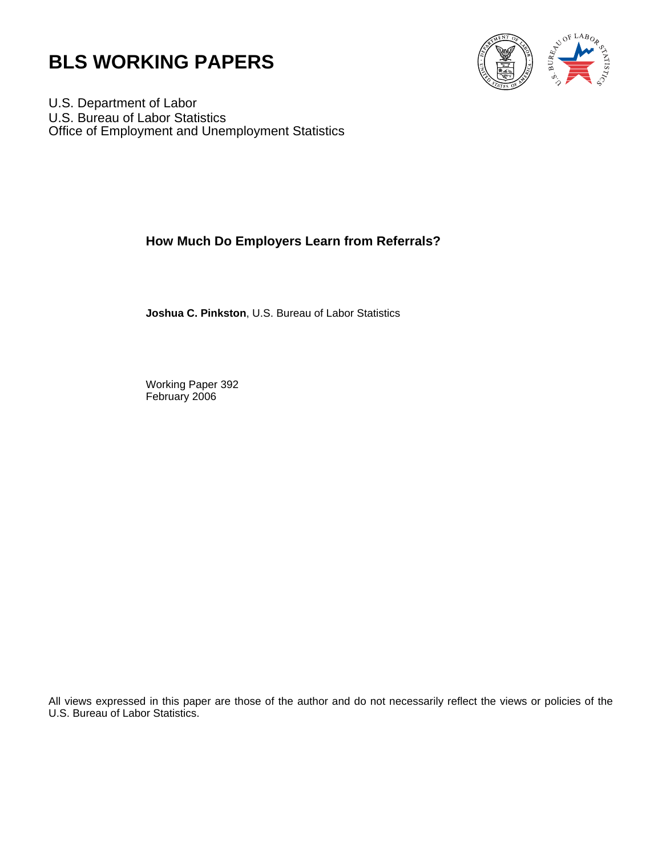



U.S. Department of Labor U.S. Bureau of Labor Statistics Office of Employment and Unemployment Statistics

## **How Much Do Employers Learn from Referrals?**

**Joshua C. Pinkston**, U.S. Bureau of Labor Statistics

Working Paper 392 February 2006

All views expressed in this paper are those of the author and do not necessarily reflect the views or policies of the U.S. Bureau of Labor Statistics.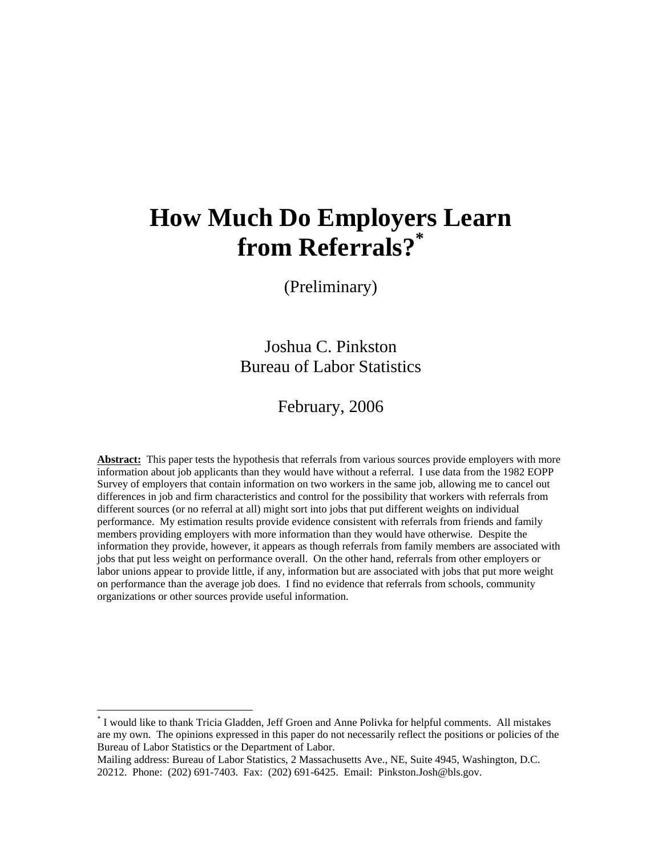# **How Much Do Employers Learn**  from Referrals?\*

(Preliminary)

Joshua C. Pinkston Bureau of Labor Statistics

## February, 2006

Abstract: This paper tests the hypothesis that referrals from various sources provide employers with more information about job applicants than they would have without a referral. I use data from the 1982 EOPP Survey of employers that contain information on two workers in the same job, allowing me to cancel out differences in job and firm characteristics and control for the possibility that workers with referrals from different sources (or no referral at all) might sort into jobs that put different weights on individual performance. My estimation results provide evidence consistent with referrals from friends and family members providing employers with more information than they would have otherwise. Despite the information they provide, however, it appears as though referrals from family members are associated with jobs that put less weight on performance overall. On the other hand, referrals from other employers or labor unions appear to provide little, if any, information but are associated with jobs that put more weight on performance than the average job does. I find no evidence that referrals from schools, community organizations or other sources provide useful information.

 $\overline{a}$ 

<sup>&</sup>lt;sup>\*</sup> I would like to thank Tricia Gladden, Jeff Groen and Anne Polivka for helpful comments. All mistakes are my own. The opinions expressed in this paper do not necessarily reflect the positions or policies of the Bureau of Labor Statistics or the Department of Labor.

Mailing address: Bureau of Labor Statistics, 2 Massachusetts Ave., NE, Suite 4945, Washington, D.C. 20212. Phone: (202) 691-7403. Fax: (202) 691-6425. Email: Pinkston.Josh@bls.gov.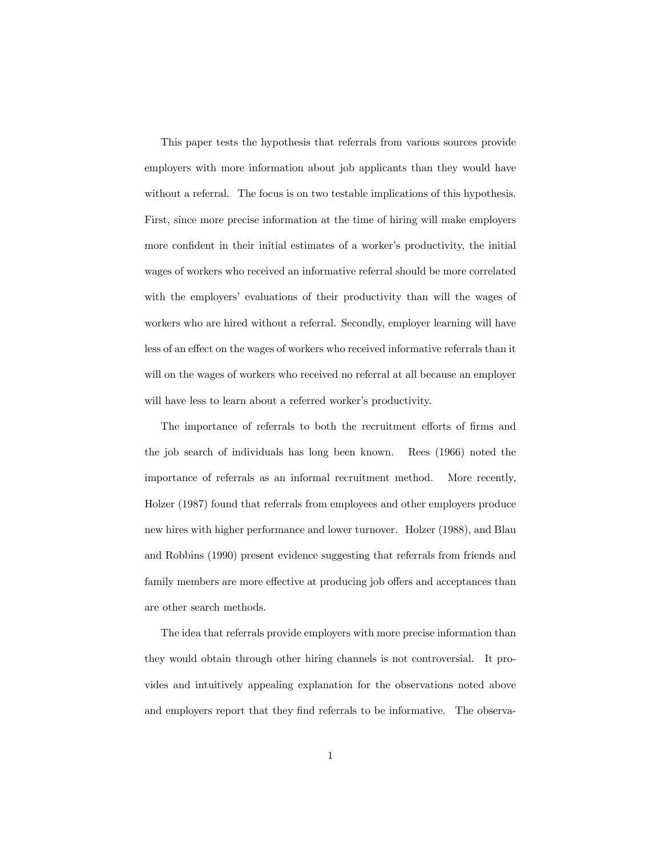This paper tests the hypothesis that referrals from various sources provide employers with more information about job applicants than they would have without a referral. The focus is on two testable implications of this hypothesis. First, since more precise information at the time of hiring will make employers more confident in their initial estimates of a worker's productivity, the initial wages of workers who received an informative referral should be more correlated with the employers' evaluations of their productivity than will the wages of workers who are hired without a referral. Secondly, employer learning will have less of an effect on the wages of workers who received informative referrals than it will on the wages of workers who received no referral at all because an employer will have less to learn about a referred worker's productivity.

The importance of referrals to both the recruitment efforts of firms and the job search of individuals has long been known. Rees (1966) noted the importance of referrals as an informal recruitment method. More recently, Holzer (1987) found that referrals from employees and other employers produce new hires with higher performance and lower turnover. Holzer (1988), and Blau and Robbins (1990) present evidence suggesting that referrals from friends and family members are more effective at producing job offers and acceptances than are other search methods.

The idea that referrals provide employers with more precise information than they would obtain through other hiring channels is not controversial. It provides and intuitively appealing explanation for the observations noted above and employers report that they find referrals to be informative. The observa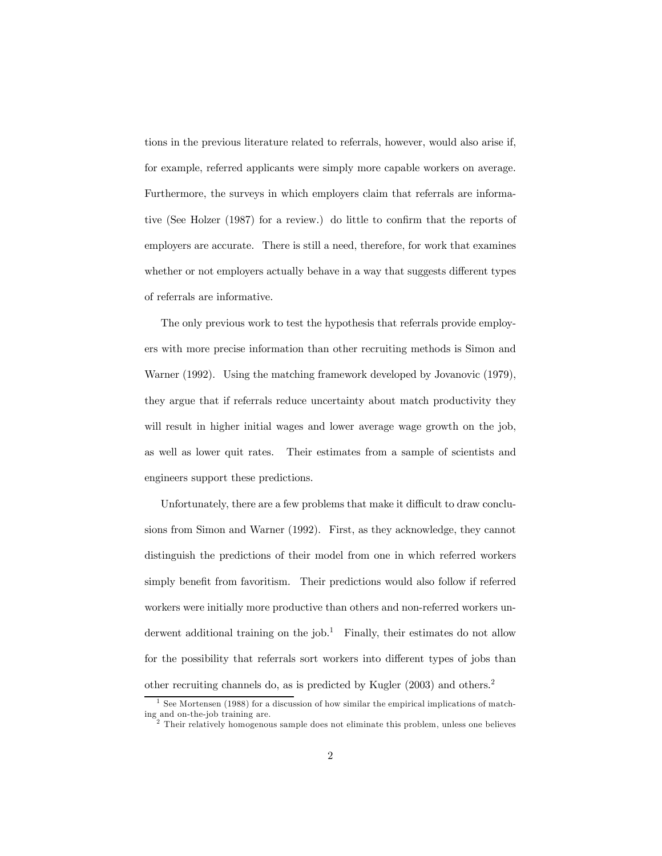tions in the previous literature related to referrals, however, would also arise if, for example, referred applicants were simply more capable workers on average. Furthermore, the surveys in which employers claim that referrals are informative (See Holzer (1987) for a review.) do little to confirm that the reports of employers are accurate. There is still a need, therefore, for work that examines whether or not employers actually behave in a way that suggests different types of referrals are informative.

The only previous work to test the hypothesis that referrals provide employers with more precise information than other recruiting methods is Simon and Warner (1992). Using the matching framework developed by Jovanovic (1979), they argue that if referrals reduce uncertainty about match productivity they will result in higher initial wages and lower average wage growth on the job, as well as lower quit rates. Their estimates from a sample of scientists and engineers support these predictions.

Unfortunately, there are a few problems that make it difficult to draw conclusions from Simon and Warner (1992). First, as they acknowledge, they cannot distinguish the predictions of their model from one in which referred workers simply benefit from favoritism. Their predictions would also follow if referred workers were initially more productive than others and non-referred workers underwent additional training on the job.<sup>1</sup> Finally, their estimates do not allow for the possibility that referrals sort workers into different types of jobs than other recruiting channels do, as is predicted by Kugler (2003) and others.<sup>2</sup>

<sup>&</sup>lt;sup>1</sup> See Mortensen (1988) for a discussion of how similar the empirical implications of matching and on-the-job training are.

 $2$  Their relatively homogenous sample does not eliminate this problem, unless one believes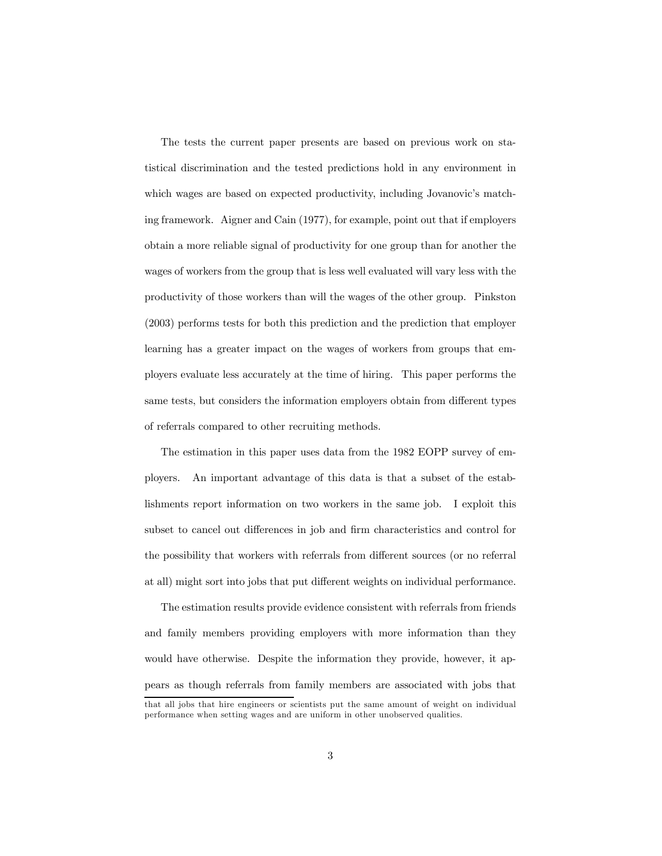The tests the current paper presents are based on previous work on statistical discrimination and the tested predictions hold in any environment in which wages are based on expected productivity, including Jovanovic's matching framework. Aigner and Cain (1977), for example, point out that if employers obtain a more reliable signal of productivity for one group than for another the wages of workers from the group that is less well evaluated will vary less with the productivity of those workers than will the wages of the other group. Pinkston (2003) performs tests for both this prediction and the prediction that employer learning has a greater impact on the wages of workers from groups that employers evaluate less accurately at the time of hiring. This paper performs the same tests, but considers the information employers obtain from different types of referrals compared to other recruiting methods.

The estimation in this paper uses data from the 1982 EOPP survey of employers. An important advantage of this data is that a subset of the establishments report information on two workers in the same job. I exploit this subset to cancel out differences in job and firm characteristics and control for the possibility that workers with referrals from different sources (or no referral at all) might sort into jobs that put different weights on individual performance.

The estimation results provide evidence consistent with referrals from friends and family members providing employers with more information than they would have otherwise. Despite the information they provide, however, it appears as though referrals from family members are associated with jobs that

that all jobs that hire engineers or scientists put the same amount of weight on individual performance when setting wages and are uniform in other unobserved qualities.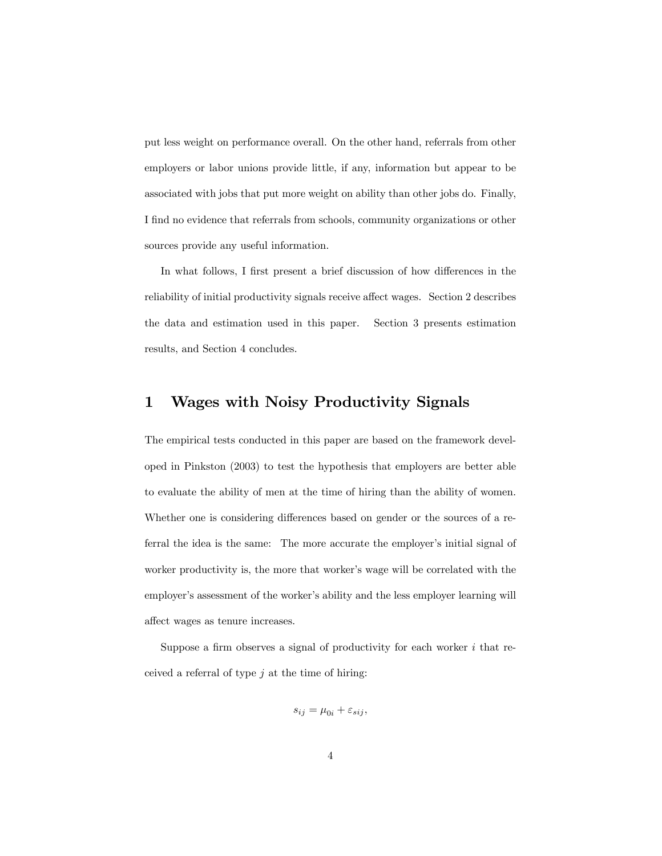put less weight on performance overall. On the other hand, referrals from other employers or labor unions provide little, if any, information but appear to be associated with jobs that put more weight on ability than other jobs do. Finally, I find no evidence that referrals from schools, community organizations or other sources provide any useful information.

In what follows, I first present a brief discussion of how differences in the reliability of initial productivity signals receive affect wages. Section 2 describes the data and estimation used in this paper. Section 3 presents estimation results, and Section 4 concludes.

#### 1 Wages with Noisy Productivity Signals

The empirical tests conducted in this paper are based on the framework developed in Pinkston (2003) to test the hypothesis that employers are better able to evaluate the ability of men at the time of hiring than the ability of women. Whether one is considering differences based on gender or the sources of a referral the idea is the same: The more accurate the employer's initial signal of worker productivity is, the more that worker's wage will be correlated with the employer's assessment of the worker's ability and the less employer learning will affect wages as tenure increases.

Suppose a firm observes a signal of productivity for each worker  $i$  that received a referral of type  $j$  at the time of hiring:

$$
s_{ij} = \mu_{0i} + \varepsilon_{sij},
$$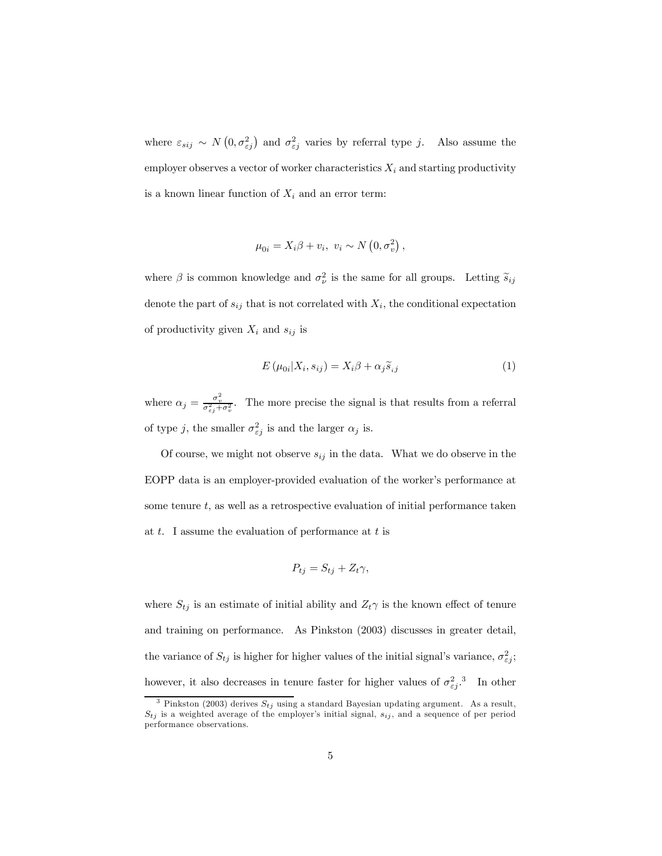where  $\varepsilon_{sij} \sim N(0, \sigma_{\varepsilon j}^2)$  and  $\sigma_{\varepsilon j}^2$  varies by referral type j. Also assume the employer observes a vector of worker characteristics  $X_i$  and starting productivity is a known linear function of  $X_i$  and an error term:

$$
\mu_{0i} = X_i \beta + v_i, \ v_i \sim N\left(0, \sigma_v^2\right),
$$

where  $\beta$  is common knowledge and  $\sigma_{\nu}^2$  is the same for all groups. Letting  $\tilde{s}_{ij}$ denote the part of  $s_{ij}$  that is not correlated with  $X_i$ , the conditional expectation of productivity given  $X_i$  and  $s_{ij}$  is

$$
E(\mu_{0i}|X_i, s_{ij}) = X_i \beta + \alpha_j \widetilde{s}_{ij}
$$
\n(1)

where  $\alpha_j = \frac{\sigma_v^2}{\sigma_{\varepsilon_j}^2 + \sigma_v^2}$ . The more precise the signal is that results from a referral of type j, the smaller  $\sigma_{\varepsilon j}^2$  is and the larger  $\alpha_j$  is.

Of course, we might not observe  $s_{ij}$  in the data. What we do observe in the EOPP data is an employer-provided evaluation of the worker's performance at some tenure  $t$ , as well as a retrospective evaluation of initial performance taken at  $t$ . I assume the evaluation of performance at  $t$  is

$$
P_{tj}=S_{tj}+Z_t\gamma,
$$

where  $S_{tj}$  is an estimate of initial ability and  $Z_t\gamma$  is the known effect of tenure and training on performance. As Pinkston (2003) discusses in greater detail, the variance of  $S_{tj}$  is higher for higher values of the initial signal's variance,  $\sigma_{\varepsilon j}^2$ ; however, it also decreases in tenure faster for higher values of  $\sigma_{\varepsilon j}^2$ .<sup>3</sup> In other

<sup>&</sup>lt;sup>3</sup> Pinkston (2003) derives  $S_{tj}$  using a standard Bayesian updating argument. As a result,  $S_{tj}$  is a weighted average of the employer's initial signal,  $s_{ij}$ , and a sequence of per period performance observations.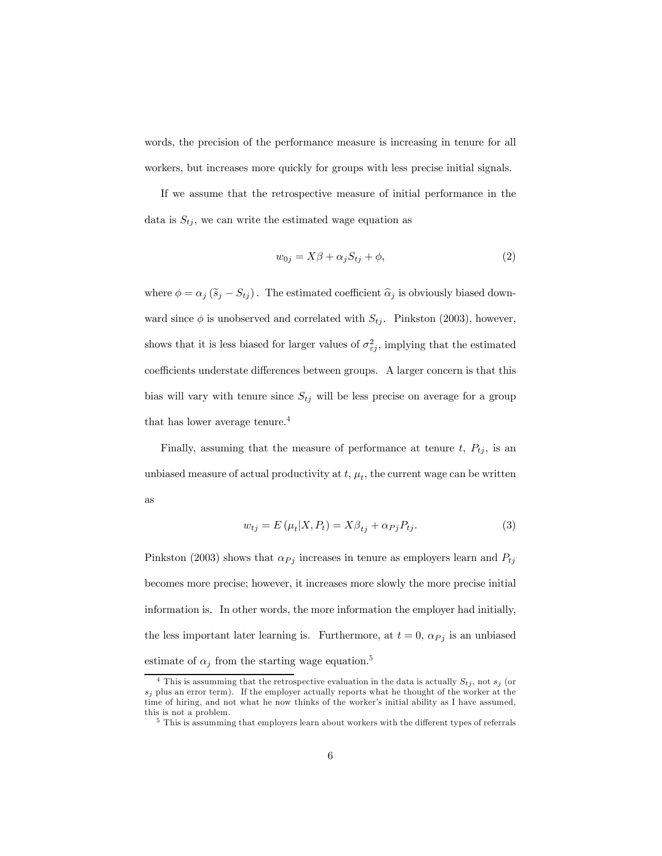words, the precision of the performance measure is increasing in tenure for all workers, but increases more quickly for groups with less precise initial signals.

If we assume that the retrospective measure of initial performance in the data is  $S_{t_i}$ , we can write the estimated wage equation as

$$
w_{0j} = X\beta + \alpha_j S_{tj} + \phi,\tag{2}
$$

where  $\phi = \alpha_j (\widetilde{s}_j - S_{tj})$ . The estimated coefficient  $\widehat{\alpha}_j$  is obviously biased downward since  $\phi$  is unobserved and correlated with  $S_{tj}$ . Pinkston (2003), however, shows that it is less biased for larger values of  $\sigma_{\varepsilon j}^2$ , implying that the estimated coefficients understate differences between groups. A larger concern is that this bias will vary with tenure since  $S_{tj}$  will be less precise on average for a group that has lower average tenure.<sup>4</sup>

Finally, assuming that the measure of performance at tenure  $t, P_{tj}$ , is an unbiased measure of actual productivity at  $t$ ,  $\mu_t$ , the current wage can be written as

$$
w_{tj} = E(\mu_t | X, P_t) = X\beta_{tj} + \alpha_{Pj} P_{tj}.
$$
\n(3)

Pinkston (2003) shows that  $\alpha_{Pj}$  increases in tenure as employers learn and  $P_{tj}$ becomes more precise; however, it increases more slowly the more precise initial information is. In other words, the more information the employer had initially, the less important later learning is. Furthermore, at  $t = 0$ ,  $\alpha_{Pj}$  is an unbiased estimate of  $\alpha_j$  from the starting wage equation.<sup>5</sup>

<sup>&</sup>lt;sup>4</sup> This is assumming that the retrospective evaluation in the data is actually  $S_{tj}$ , not  $s_j$  (or  $s_j$  plus an error term). If the employer actually reports what he thought of the worker at the time of hiring, and not what he now thinks of the worker's initial ability as I have assumed, this is not a problem.

<sup>&</sup>lt;sup>5</sup> This is assumming that employers learn about workers with the different types of referrals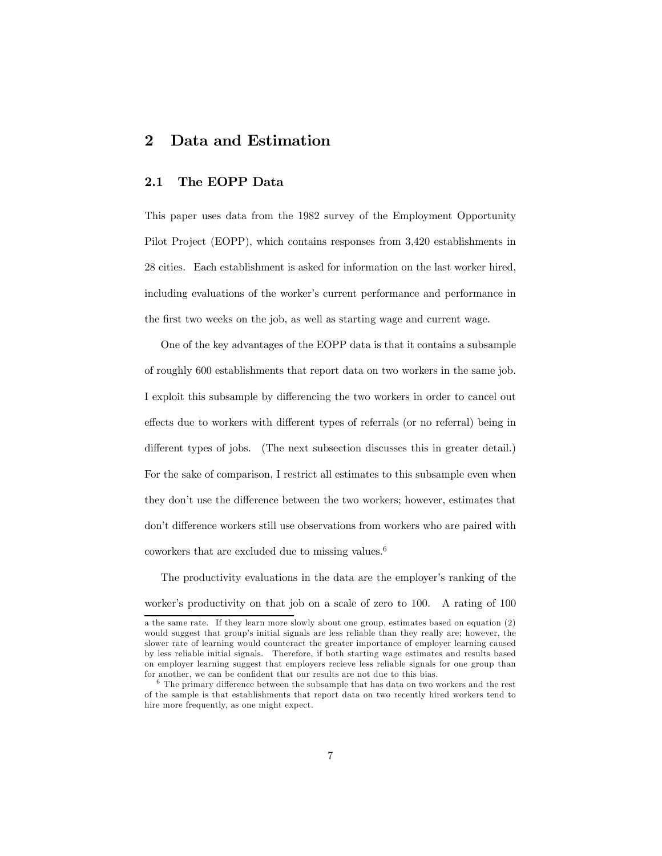#### 2 Data and Estimation

#### 2.1 The EOPP Data

This paper uses data from the 1982 survey of the Employment Opportunity Pilot Project (EOPP), which contains responses from 3,420 establishments in 28 cities. Each establishment is asked for information on the last worker hired, including evaluations of the worker's current performance and performance in the first two weeks on the job, as well as starting wage and current wage.

One of the key advantages of the EOPP data is that it contains a subsample of roughly 600 establishments that report data on two workers in the same job. I exploit this subsample by differencing the two workers in order to cancel out effects due to workers with different types of referrals (or no referral) being in different types of jobs. (The next subsection discusses this in greater detail.) For the sake of comparison, I restrict all estimates to this subsample even when they don't use the difference between the two workers; however, estimates that don't difference workers still use observations from workers who are paired with coworkers that are excluded due to missing values.6

The productivity evaluations in the data are the employer's ranking of the worker's productivity on that job on a scale of zero to 100. A rating of 100

a the same rate. If they learn more slowly about one group, estimates based on equation (2) would suggest that group's initial signals are less reliable than they really are; however, the slower rate of learning would counteract the greater importance of employer learning caused by less reliable initial signals. Therefore, if both starting wage estimates and results based on employer learning suggest that employers recieve less reliable signals for one group than for another, we can be confident that our results are not due to this bias.

 $^6$  The primary difference between the subsample that has data on two workers and the rest of the sample is that establishments that report data on two recently hired workers tend to hire more frequently, as one might expect.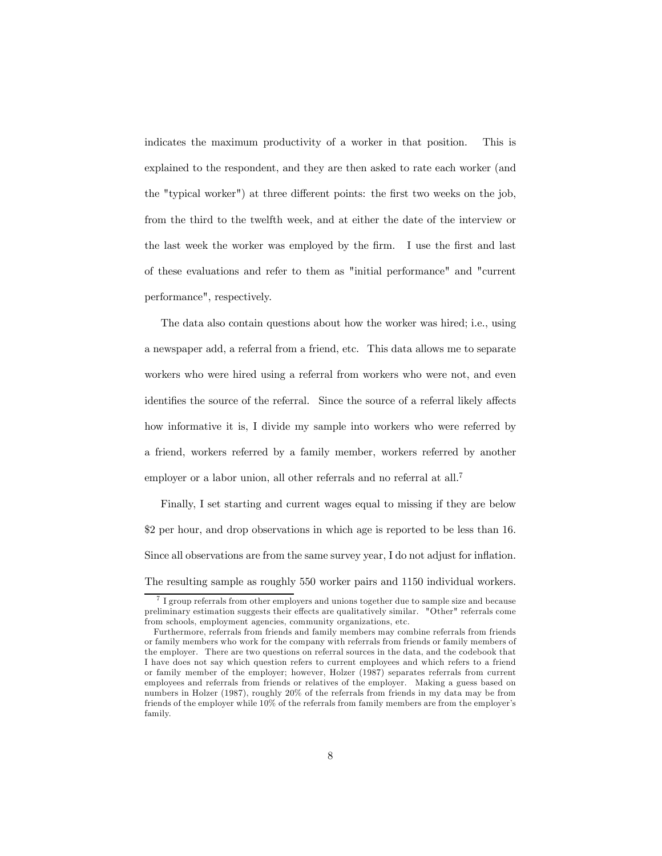indicates the maximum productivity of a worker in that position. This is explained to the respondent, and they are then asked to rate each worker (and the "typical worker") at three different points: the first two weeks on the job, from the third to the twelfth week, and at either the date of the interview or the last week the worker was employed by the firm. I use the first and last of these evaluations and refer to them as "initial performance" and "current performance", respectively.

The data also contain questions about how the worker was hired; i.e., using a newspaper add, a referral from a friend, etc. This data allows me to separate workers who were hired using a referral from workers who were not, and even identifies the source of the referral. Since the source of a referral likely affects how informative it is, I divide my sample into workers who were referred by a friend, workers referred by a family member, workers referred by another employer or a labor union, all other referrals and no referral at all.<sup>7</sup>

Finally, I set starting and current wages equal to missing if they are below \$2 per hour, and drop observations in which age is reported to be less than 16. Since all observations are from the same survey year, I do not adjust for inflation. The resulting sample as roughly 550 worker pairs and 1150 individual workers.

 $7$  I group referrals from other employers and unions together due to sample size and because preliminary estimation suggests their effects are qualitatively similar. "Other" referrals come from schools, employment agencies, community organizations, etc.

Furthermore, referrals from friends and family members may combine referrals from friends or family members who work for the company with referrals from friends or family members of the employer. There are two questions on referral sources in the data, and the codebook that I have does not say which question refers to current employees and which refers to a friend or family member of the employer; however, Holzer (1987) separates referrals from current employees and referrals from friends or relatives of the employer. Making a guess based on numbers in Holzer (1987), roughly 20% of the referrals from friends in my data may be from friends of the employer while 10% of the referrals from family members are from the employer's family.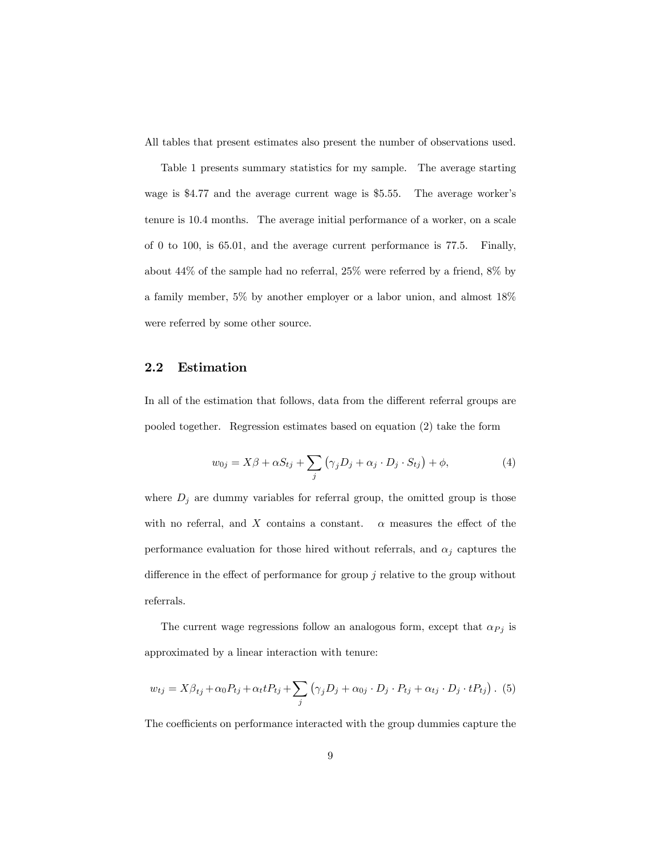All tables that present estimates also present the number of observations used.

Table 1 presents summary statistics for my sample. The average starting wage is \$4.77 and the average current wage is \$5.55. The average worker's tenure is 10.4 months. The average initial performance of a worker, on a scale of 0 to 100, is 65.01, and the average current performance is 77.5. Finally, about 44% of the sample had no referral, 25% were referred by a friend, 8% by a family member, 5% by another employer or a labor union, and almost 18% were referred by some other source.

#### 2.2 Estimation

In all of the estimation that follows, data from the different referral groups are pooled together. Regression estimates based on equation (2) take the form

$$
w_{0j} = X\beta + \alpha S_{tj} + \sum_{j} (\gamma_j D_j + \alpha_j \cdot D_j \cdot S_{tj}) + \phi,
$$
\n(4)

where  $D_j$  are dummy variables for referral group, the omitted group is those with no referral, and X contains a constant.  $\alpha$  measures the effect of the performance evaluation for those hired without referrals, and  $\alpha_i$  captures the difference in the effect of performance for group  $j$  relative to the group without referrals.

The current wage regressions follow an analogous form, except that  $\alpha_{Pj}$  is approximated by a linear interaction with tenure:

$$
w_{tj} = X\beta_{tj} + \alpha_0 P_{tj} + \alpha_t t P_{tj} + \sum_j (\gamma_j D_j + \alpha_{0j} \cdot D_j \cdot P_{tj} + \alpha_{tj} \cdot D_j \cdot t P_{tj}). \tag{5}
$$

The coefficients on performance interacted with the group dummies capture the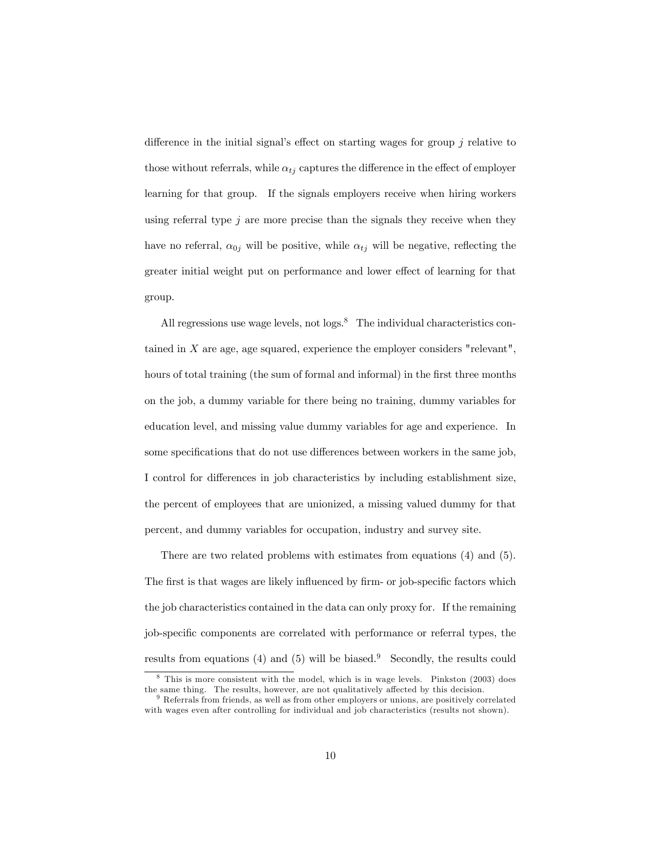difference in the initial signal's effect on starting wages for group  $j$  relative to those without referrals, while  $\alpha_{t_i}$  captures the difference in the effect of employer learning for that group. If the signals employers receive when hiring workers using referral type  $j$  are more precise than the signals they receive when they have no referral,  $\alpha_{0j}$  will be positive, while  $\alpha_{tj}$  will be negative, reflecting the greater initial weight put on performance and lower effect of learning for that group.

All regressions use wage levels, not  $\log s$ <sup>8</sup> The individual characteristics contained in  $X$  are age, age squared, experience the employer considers "relevant", hours of total training (the sum of formal and informal) in the first three months on the job, a dummy variable for there being no training, dummy variables for education level, and missing value dummy variables for age and experience. In some specifications that do not use differences between workers in the same job, I control for differences in job characteristics by including establishment size, the percent of employees that are unionized, a missing valued dummy for that percent, and dummy variables for occupation, industry and survey site.

There are two related problems with estimates from equations (4) and (5). The first is that wages are likely influenced by firm- or job-specific factors which the job characteristics contained in the data can only proxy for. If the remaining job-specific components are correlated with performance or referral types, the results from equations (4) and (5) will be biased.<sup>9</sup> Secondly, the results could

<sup>8</sup> This is more consistent with the model, which is in wage levels. Pinkston (2003) does the same thing. The results, however, are not qualitatively affected by this decision.

<sup>&</sup>lt;sup>9</sup> Referrals from friends, as well as from other employers or unions, are positively correlated with wages even after controlling for individual and job characteristics (results not shown).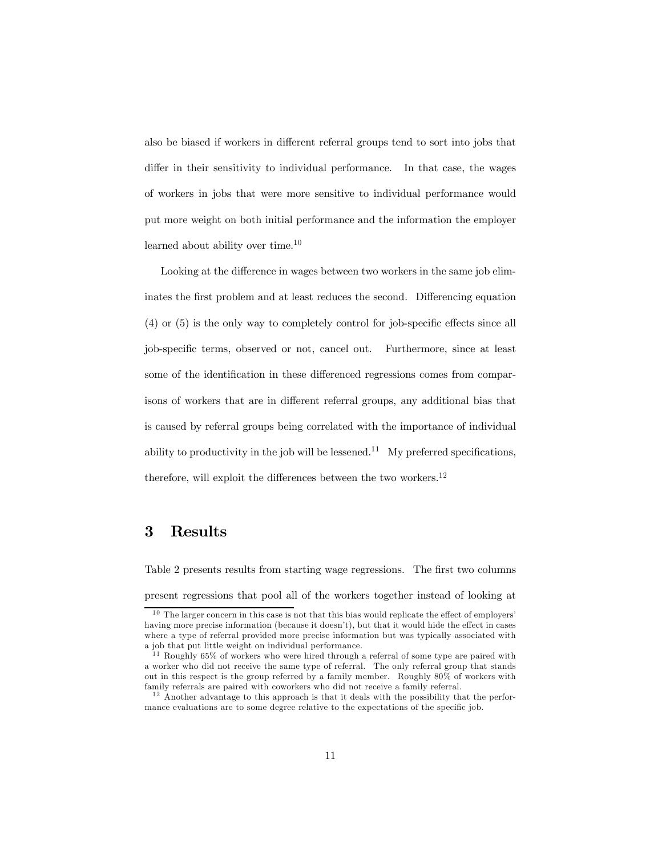also be biased if workers in different referral groups tend to sort into jobs that differ in their sensitivity to individual performance. In that case, the wages of workers in jobs that were more sensitive to individual performance would put more weight on both initial performance and the information the employer learned about ability over time.10

Looking at the difference in wages between two workers in the same job eliminates the first problem and at least reduces the second. Differencing equation (4) or (5) is the only way to completely control for job-specific effects since all job-specific terms, observed or not, cancel out. Furthermore, since at least some of the identification in these differenced regressions comes from comparisons of workers that are in different referral groups, any additional bias that is caused by referral groups being correlated with the importance of individual ability to productivity in the job will be lessened.<sup>11</sup> My preferred specifications, therefore, will exploit the differences between the two workers.<sup>12</sup>

#### 3 Results

Table 2 presents results from starting wage regressions. The first two columns present regressions that pool all of the workers together instead of looking at

 $10$  The larger concern in this case is not that this bias would replicate the effect of employers' having more precise information (because it doesn't), but that it would hide the effect in cases where a type of referral provided more precise information but was typically associated with a job that put little weight on individual performance.

<sup>&</sup>lt;sup>11</sup> Roughly 65% of workers who were hired through a referral of some type are paired with a worker who did not receive the same type of referral. The only referral group that stands out in this respect is the group referred by a family member. Roughly 80% of workers with family referrals are paired with coworkers who did not receive a family referral.

 $12$  Another advantage to this approach is that it deals with the possibility that the performance evaluations are to some degree relative to the expectations of the specific job.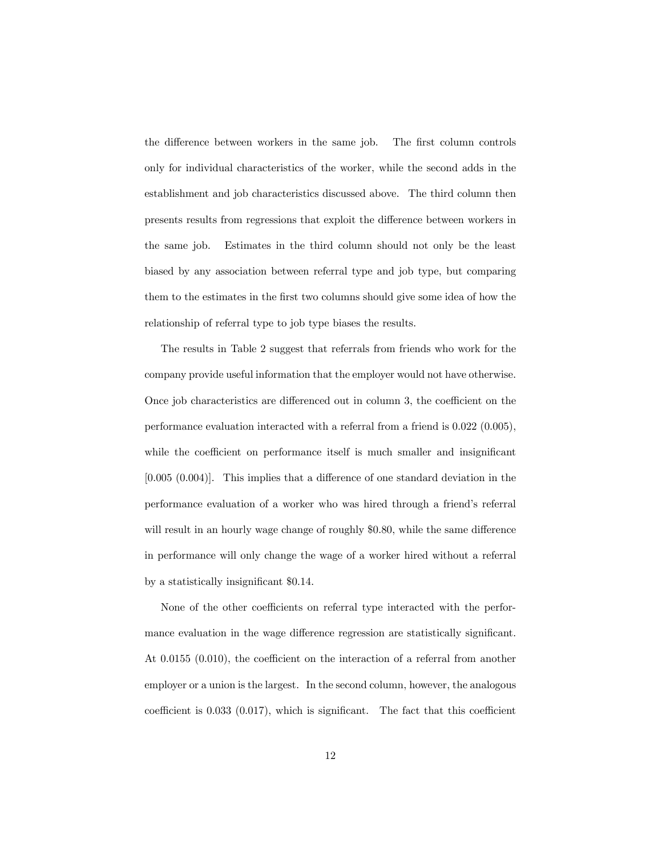the difference between workers in the same job. The first column controls only for individual characteristics of the worker, while the second adds in the establishment and job characteristics discussed above. The third column then presents results from regressions that exploit the difference between workers in the same job. Estimates in the third column should not only be the least biased by any association between referral type and job type, but comparing them to the estimates in the first two columns should give some idea of how the relationship of referral type to job type biases the results.

The results in Table 2 suggest that referrals from friends who work for the company provide useful information that the employer would not have otherwise. Once job characteristics are differenced out in column 3, the coefficient on the performance evaluation interacted with a referral from a friend is 0.022 (0.005), while the coefficient on performance itself is much smaller and insignificant [0.005 (0.004)]. This implies that a difference of one standard deviation in the performance evaluation of a worker who was hired through a friend's referral will result in an hourly wage change of roughly \$0.80, while the same difference in performance will only change the wage of a worker hired without a referral by a statistically insignificant \$0.14.

None of the other coefficients on referral type interacted with the performance evaluation in the wage difference regression are statistically significant. At 0.0155 (0.010), the coefficient on the interaction of a referral from another employer or a union is the largest. In the second column, however, the analogous coefficient is 0.033 (0.017), which is significant. The fact that this coefficient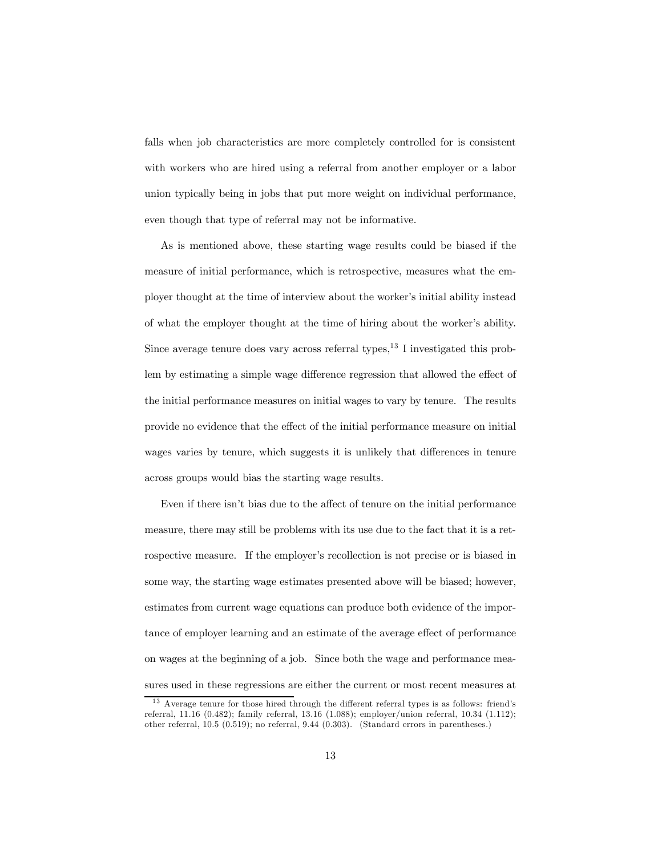falls when job characteristics are more completely controlled for is consistent with workers who are hired using a referral from another employer or a labor union typically being in jobs that put more weight on individual performance, even though that type of referral may not be informative.

As is mentioned above, these starting wage results could be biased if the measure of initial performance, which is retrospective, measures what the employer thought at the time of interview about the worker's initial ability instead of what the employer thought at the time of hiring about the worker's ability. Since average tenure does vary across referral types, $^{13}$  I investigated this problem by estimating a simple wage difference regression that allowed the effect of the initial performance measures on initial wages to vary by tenure. The results provide no evidence that the effect of the initial performance measure on initial wages varies by tenure, which suggests it is unlikely that differences in tenure across groups would bias the starting wage results.

Even if there isn't bias due to the affect of tenure on the initial performance measure, there may still be problems with its use due to the fact that it is a retrospective measure. If the employer's recollection is not precise or is biased in some way, the starting wage estimates presented above will be biased; however, estimates from current wage equations can produce both evidence of the importance of employer learning and an estimate of the average effect of performance on wages at the beginning of a job. Since both the wage and performance measures used in these regressions are either the current or most recent measures at

<sup>&</sup>lt;sup>13</sup> Average tenure for those hired through the different referral types is as follows: friend's referral, 11.16 (0.482); family referral, 13.16 (1.088); employer/union referral, 10.34 (1.112); other referral, 10.5 (0.519); no referral, 9.44 (0.303). (Standard errors in parentheses.)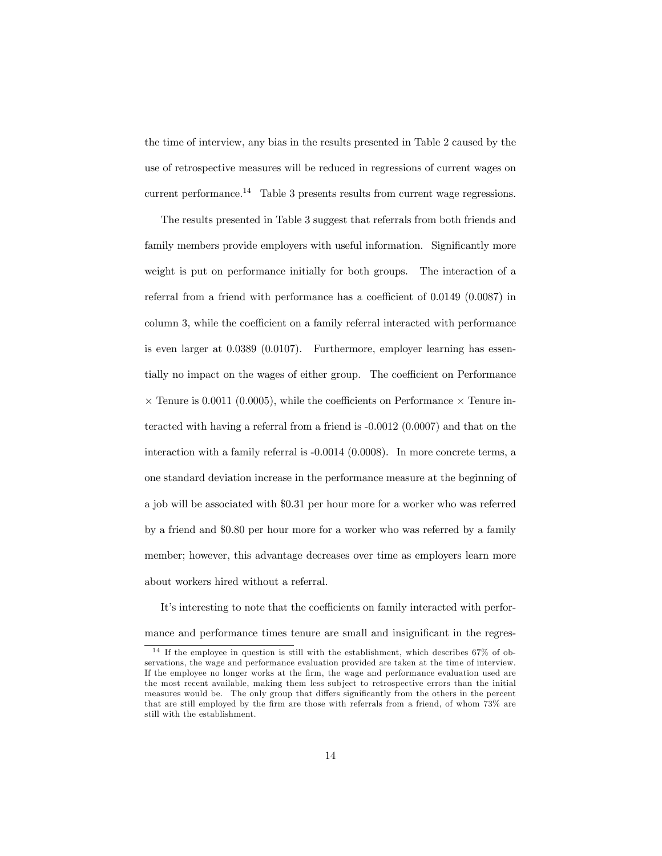the time of interview, any bias in the results presented in Table 2 caused by the use of retrospective measures will be reduced in regressions of current wages on current performance.<sup>14</sup> Table 3 presents results from current wage regressions.

The results presented in Table 3 suggest that referrals from both friends and family members provide employers with useful information. Significantly more weight is put on performance initially for both groups. The interaction of a referral from a friend with performance has a coefficient of 0.0149 (0.0087) in column 3, while the coefficient on a family referral interacted with performance is even larger at 0.0389 (0.0107). Furthermore, employer learning has essentially no impact on the wages of either group. The coefficient on Performance  $\times$  Tenure is 0.0011 (0.0005), while the coefficients on Performance  $\times$  Tenure interacted with having a referral from a friend is -0.0012 (0.0007) and that on the interaction with a family referral is -0.0014 (0.0008). In more concrete terms, a one standard deviation increase in the performance measure at the beginning of a job will be associated with \$0.31 per hour more for a worker who was referred by a friend and \$0.80 per hour more for a worker who was referred by a family member; however, this advantage decreases over time as employers learn more about workers hired without a referral.

It's interesting to note that the coefficients on family interacted with performance and performance times tenure are small and insignificant in the regres-

 $14$  If the employee in question is still with the establishment, which describes 67% of observations, the wage and performance evaluation provided are taken at the time of interview. If the employee no longer works at the firm, the wage and performance evaluation used are the most recent available, making them less sub ject to retrospective errors than the initial measures would be. The only group that differs significantly from the others in the percent that are still employed by the firm are those with referrals from a friend, of whom 73% are still with the establishment.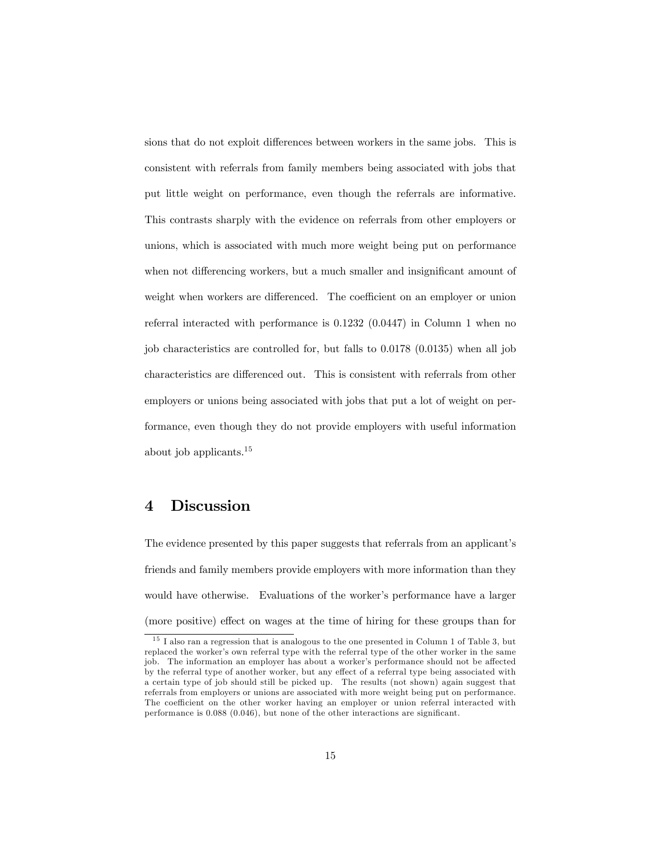sions that do not exploit differences between workers in the same jobs. This is consistent with referrals from family members being associated with jobs that put little weight on performance, even though the referrals are informative. This contrasts sharply with the evidence on referrals from other employers or unions, which is associated with much more weight being put on performance when not differencing workers, but a much smaller and insignificant amount of weight when workers are differenced. The coefficient on an employer or union referral interacted with performance is 0.1232 (0.0447) in Column 1 when no job characteristics are controlled for, but falls to 0.0178 (0.0135) when all job characteristics are differenced out. This is consistent with referrals from other employers or unions being associated with jobs that put a lot of weight on performance, even though they do not provide employers with useful information about job applicants.<sup>15</sup>

### 4 Discussion

The evidence presented by this paper suggests that referrals from an applicant's friends and family members provide employers with more information than they would have otherwise. Evaluations of the worker's performance have a larger (more positive) effect on wages at the time of hiring for these groups than for

<sup>&</sup>lt;sup>15</sup> I also ran a regression that is analogous to the one presented in Column 1 of Table 3, but replaced the worker's own referral type with the referral type of the other worker in the same job. The information an employer has about a worker's performance should not be affected by the referral type of another worker, but any effect of a referral type being associated with a certain type of job should still be picked up. The results (not shown) again suggest that referrals from employers or unions are associated with more weight being put on performance. The coefficient on the other worker having an employer or union referral interacted with performance is 0.088 (0.046), but none of the other interactions are significant.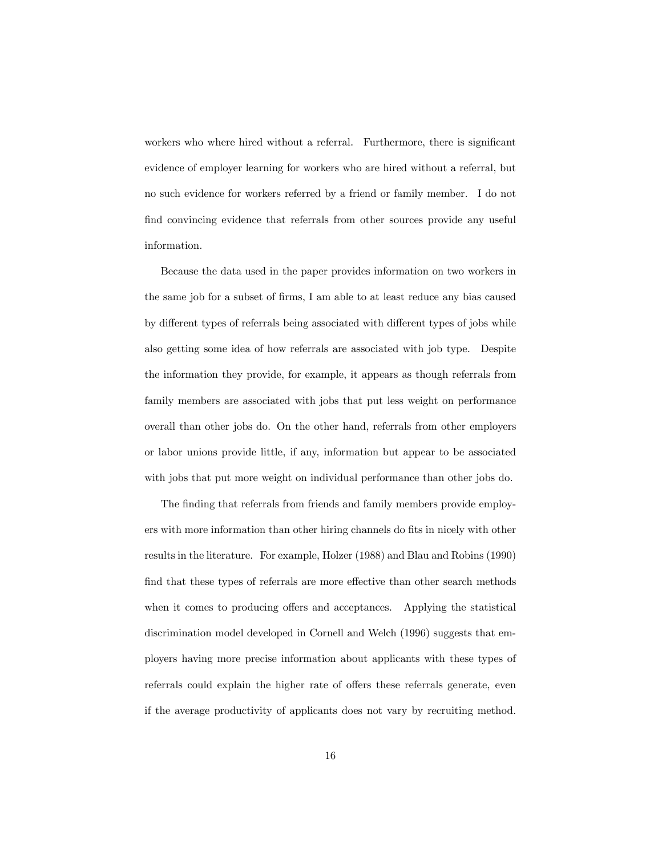workers who where hired without a referral. Furthermore, there is significant evidence of employer learning for workers who are hired without a referral, but no such evidence for workers referred by a friend or family member. I do not find convincing evidence that referrals from other sources provide any useful information.

Because the data used in the paper provides information on two workers in the same job for a subset of firms, I am able to at least reduce any bias caused by different types of referrals being associated with different types of jobs while also getting some idea of how referrals are associated with job type. Despite the information they provide, for example, it appears as though referrals from family members are associated with jobs that put less weight on performance overall than other jobs do. On the other hand, referrals from other employers or labor unions provide little, if any, information but appear to be associated with jobs that put more weight on individual performance than other jobs do.

The finding that referrals from friends and family members provide employers with more information than other hiring channels do fits in nicely with other results in the literature. For example, Holzer (1988) and Blau and Robins (1990) find that these types of referrals are more effective than other search methods when it comes to producing offers and acceptances. Applying the statistical discrimination model developed in Cornell and Welch (1996) suggests that employers having more precise information about applicants with these types of referrals could explain the higher rate of offers these referrals generate, even if the average productivity of applicants does not vary by recruiting method.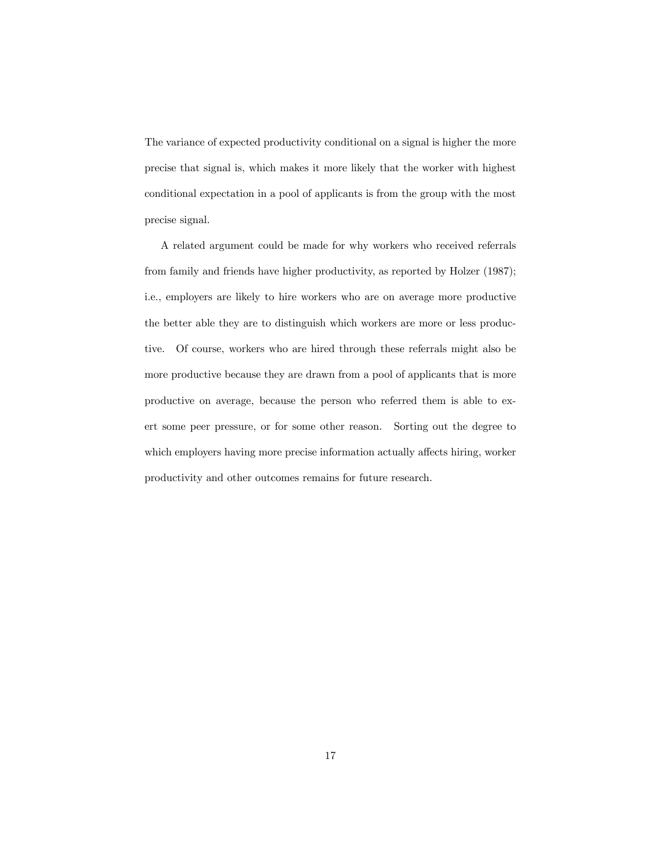The variance of expected productivity conditional on a signal is higher the more precise that signal is, which makes it more likely that the worker with highest conditional expectation in a pool of applicants is from the group with the most precise signal.

A related argument could be made for why workers who received referrals from family and friends have higher productivity, as reported by Holzer (1987); i.e., employers are likely to hire workers who are on average more productive the better able they are to distinguish which workers are more or less productive. Of course, workers who are hired through these referrals might also be more productive because they are drawn from a pool of applicants that is more productive on average, because the person who referred them is able to exert some peer pressure, or for some other reason. Sorting out the degree to which employers having more precise information actually affects hiring, worker productivity and other outcomes remains for future research.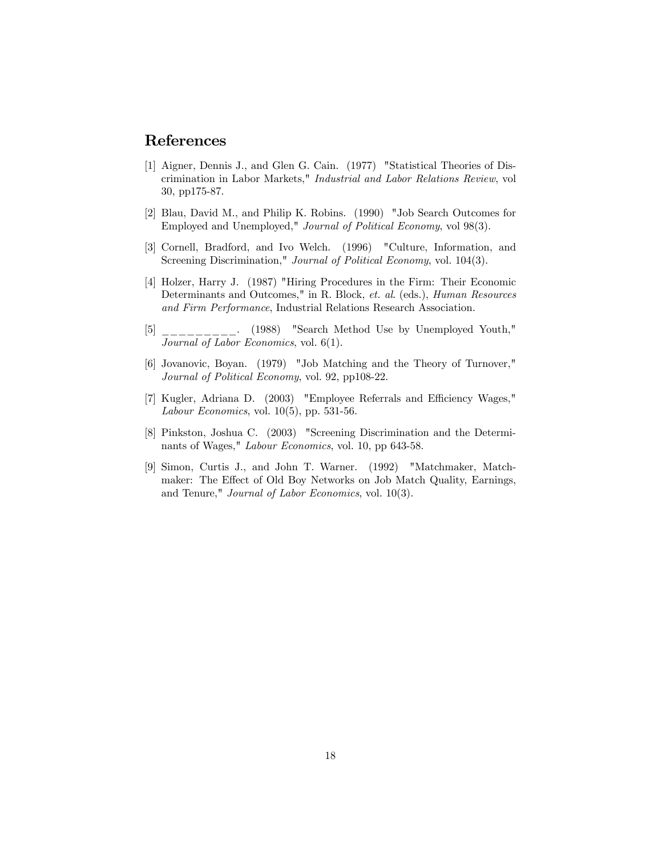## References

- [1] Aigner, Dennis J., and Glen G. Cain. (1977) "Statistical Theories of Discrimination in Labor Markets," Industrial and Labor Relations Review, vol 30, pp175-87.
- [2] Blau, David M., and Philip K. Robins. (1990) "Job Search Outcomes for Employed and Unemployed," Journal of Political Economy, vol 98(3).
- [3] Cornell, Bradford, and Ivo Welch. (1996) "Culture, Information, and Screening Discrimination," Journal of Political Economy, vol. 104(3).
- [4] Holzer, Harry J. (1987) "Hiring Procedures in the Firm: Their Economic Determinants and Outcomes," in R. Block, et. al. (eds.), Human Resources and Firm Performance, Industrial Relations Research Association.
- $\begin{bmatrix} 5 \end{bmatrix}$  \_\_\_\_\_\_\_\_. (1988) "Search Method Use by Unemployed Youth," Journal of Labor Economics, vol. 6(1).
- [6] Jovanovic, Boyan. (1979) "Job Matching and the Theory of Turnover," Journal of Political Economy, vol. 92, pp108-22.
- [7] Kugler, Adriana D. (2003) "Employee Referrals and Efficiency Wages," Labour Economics, vol. 10(5), pp. 531-56.
- [8] Pinkston, Joshua C. (2003) "Screening Discrimination and the Determinants of Wages," Labour Economics, vol. 10, pp 643-58.
- [9] Simon, Curtis J., and John T. Warner. (1992) "Matchmaker, Matchmaker: The Effect of Old Boy Networks on Job Match Quality, Earnings, and Tenure," Journal of Labor Economics, vol. 10(3).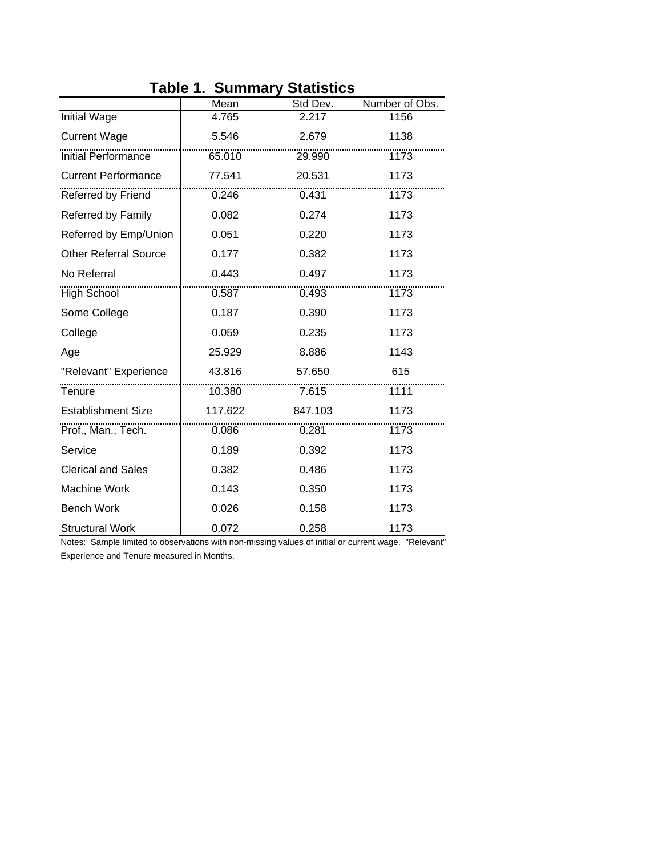|                              | Mean    | Std Dev. | Number of Obs. |
|------------------------------|---------|----------|----------------|
| <b>Initial Wage</b>          | 4.765   | 2.217    | 1156           |
| <b>Current Wage</b>          | 5.546   | 2.679    | 1138           |
| <b>Initial Performance</b>   | 65.010  | 29.990   | 1173           |
| <b>Current Performance</b>   | 77.541  | 20.531   | 1173           |
| Referred by Friend           | 0.246   | 0.431    | 1173           |
| Referred by Family           | 0.082   | 0.274    | 1173           |
| Referred by Emp/Union        | 0.051   | 0.220    | 1173           |
| <b>Other Referral Source</b> | 0.177   | 0.382    | 1173           |
| No Referral                  | 0.443   | 0.497    | 1173           |
| <b>High School</b>           | 0.587   | 0.493    | 1173           |
| Some College                 | 0.187   | 0.390    | 1173           |
| College                      | 0.059   | 0.235    | 1173           |
| Age                          | 25.929  | 8.886    | 1143           |
| "Relevant" Experience        | 43.816  | 57.650   | 615            |
| Tenure                       | 10.380  | 7.615    | 7111           |
| <b>Establishment Size</b>    | 117.622 | 847.103  | 1173           |
| Prof., Man., Tech.           | 0.086   | 0.281    | 1173           |
| Service                      | 0.189   | 0.392    | 1173           |
| <b>Clerical and Sales</b>    | 0.382   | 0.486    | 1173           |
| <b>Machine Work</b>          | 0.143   | 0.350    | 1173           |
| <b>Bench Work</b>            | 0.026   | 0.158    | 1173           |
| <b>Structural Work</b>       | 0.072   | 0.258    | 1173           |

## **Table 1. Summary Statistics**

Notes: Sample limited to observations with non-missing values of initial or current wage. "Relevant" Experience and Tenure measured in Months.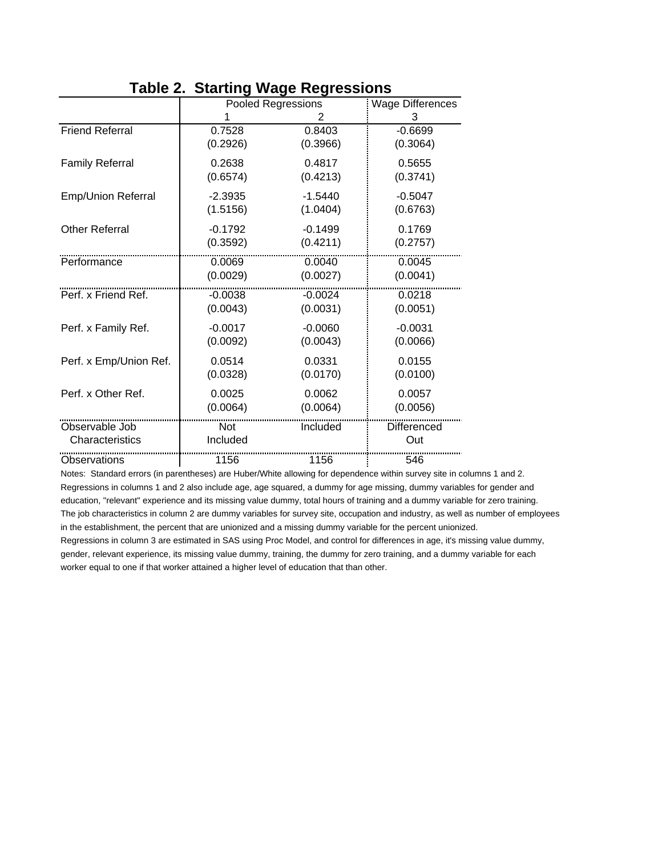|                        | Pooled Regressions |           | <b>Wage Differences</b> |
|------------------------|--------------------|-----------|-------------------------|
|                        |                    | 2         | 3                       |
| <b>Friend Referral</b> | 0.7528             | 0.8403    | $-0.6699$               |
|                        | (0.2926)           | (0.3966)  | (0.3064)                |
| <b>Family Referral</b> | 0.2638             | 0.4817    | 0.5655                  |
|                        | (0.6574)           | (0.4213)  | (0.3741)                |
| Emp/Union Referral     | $-2.3935$          | $-1.5440$ | $-0.5047$               |
|                        | (1.5156)           | (1.0404)  | (0.6763)                |
| <b>Other Referral</b>  | $-0.1792$          | $-0.1499$ | 0.1769                  |
|                        | (0.3592)           | (0.4211)  | (0.2757)                |
| Performance            | 0.0069             | 0.0040    | 0.0045                  |
|                        | (0.0029)           | (0.0027)  | (0.0041)                |
| Perf. x Friend Ref.    | $-0.0038$          | $-0.0024$ | 0.0218                  |
|                        | (0.0043)           | (0.0031)  | (0.0051)                |
| Perf. x Family Ref.    | $-0.0017$          | $-0.0060$ | $-0.0031$               |
|                        | (0.0092)           | (0.0043)  | (0.0066)                |
| Perf. x Emp/Union Ref. | 0.0514             | 0.0331    | 0.0155                  |
|                        | (0.0328)           | (0.0170)  | (0.0100)                |
| Perf. x Other Ref.     | 0.0025             | 0.0062    | 0.0057                  |
|                        | (0.0064)           | (0.0064)  | (0.0056)                |
| Observable Job         | Not                | Included  | Differenced             |
| Characteristics        | Included           |           | Out                     |
| Observations           | 1156               | 1156      | 546                     |

## **Table 2. Starting Wage Regressions**

Notes: Standard errors (in parentheses) are Huber/White allowing for dependence within survey site in columns 1 and 2. Regressions in columns 1 and 2 also include age, age squared, a dummy for age missing, dummy variables for gender and education, "relevant" experience and its missing value dummy, total hours of training and a dummy variable for zero training. The job characteristics in column 2 are dummy variables for survey site, occupation and industry, as well as number of employees in the establishment, the percent that are unionized and a missing dummy variable for the percent unionized.

Regressions in column 3 are estimated in SAS using Proc Model, and control for differences in age, it's missing value dummy, gender, relevant experience, its missing value dummy, training, the dummy for zero training, and a dummy variable for each worker equal to one if that worker attained a higher level of education that than other.